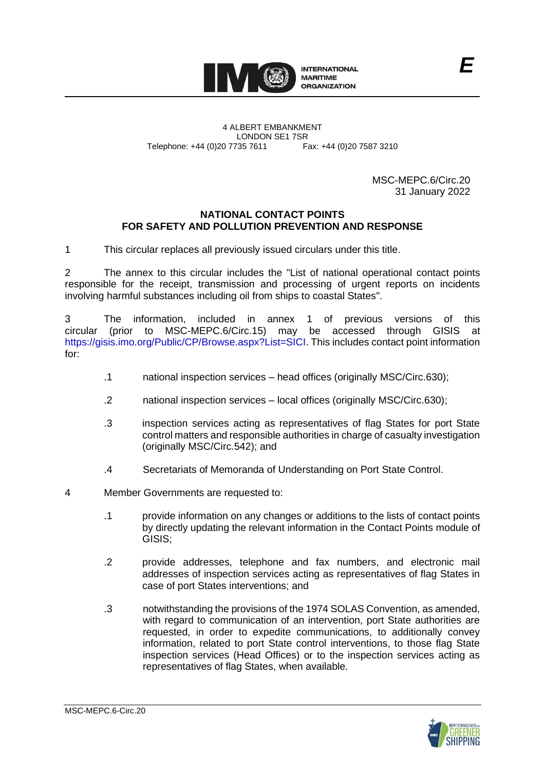

4 ALBERT EMBANKMENT Telephone: +44 (0)20 7735 7611

LONDON SE1 7SR<br>735 7611 Fax: +44 (0)20 7587 3210

MSC-MEPC.6/Circ.20 31 January 2022

*E*

## **NATIONAL CONTACT POINTS FOR SAFETY AND POLLUTION PREVENTION AND RESPONSE**

1 This circular replaces all previously issued circulars under this title.

2 The annex to this circular includes the "List of national operational contact points responsible for the receipt, transmission and processing of urgent reports on incidents involving harmful substances including oil from ships to coastal States".

3 The information, included in annex 1 of previous versions of this circular (prior to MSC-MEPC.6/Circ.15) may be accessed through GISIS at [https://gisis.imo.org/Public/CP/Browse.aspx?List=SICI.](https://gisis.imo.org/Public/CP/Browse.aspx?List=SICI) This includes contact point information for:

- .1 national inspection services head offices (originally MSC/Circ.630);
- .2 national inspection services local offices (originally MSC/Circ.630);
- .3 inspection services acting as representatives of flag States for port State control matters and responsible authorities in charge of casualty investigation (originally MSC/Circ.542); and
- .4 Secretariats of Memoranda of Understanding on Port State Control.
- 4 Member Governments are requested to:
	- .1 provide information on any changes or additions to the lists of contact points by directly updating the relevant information in the Contact Points module of GISIS;
	- .2 provide addresses, telephone and fax numbers, and electronic mail addresses of inspection services acting as representatives of flag States in case of port States interventions; and
	- .3 notwithstanding the provisions of the 1974 SOLAS Convention, as amended, with regard to communication of an intervention, port State authorities are requested, in order to expedite communications, to additionally convey information, related to port State control interventions, to those flag State inspection services (Head Offices) or to the inspection services acting as representatives of flag States, when available.